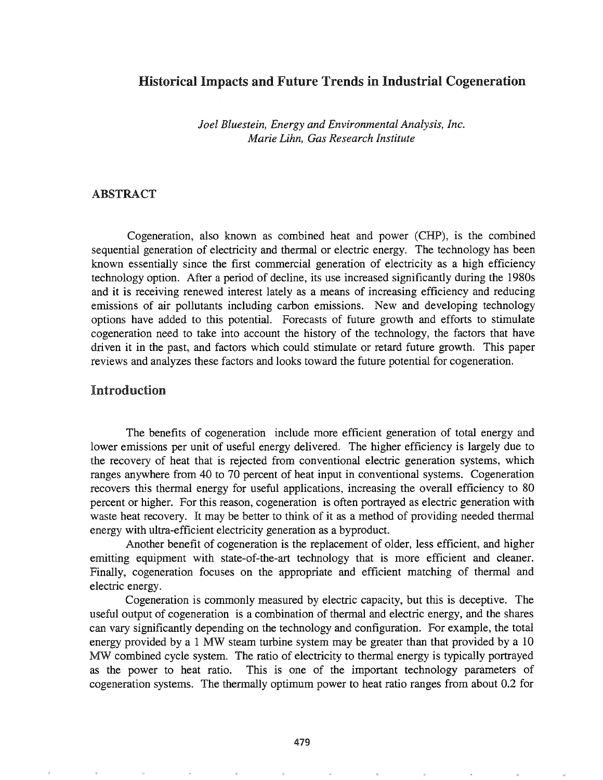## Historical Impacts and Future Trends in Industrial Cogeneration

*Joel Bluestein, Energy and Environmental Analysis, Inc. Marie Lihn, Gas Research Institute*

### ABSTRACT

Cogeneration, also known as combined heat and power (CHP), is the combined sequential generation of electricity and thermal or electric energy. The technology has been known essentially since the first commercial generation of electricity as a high efficiency technology option. After a period of decline, its use increased significantly during the 1980s and it is receiving renewed interest lately as a means of increasing efficiency and reducing emissions of air pollutants including carbon emissions. New and developing technology options have added to this potential. Forecasts of future growth and efforts to stimulate cogeneration need to take into account the history of the technology, the factors that have driven it in the past, and factors which could stimulate or retard future growth. This paper reviews and analyzes these factors and looks toward the future potential for cogeneration.

## Introduction

The benefits of cogeneration include more efficient generation of total energy and lower emissions per unit of useful energy delivered. The higher efficiency is largely due to the recovery of heat that is rejected from conventional electric generation systems, which ranges anywhere from 40 to 70 percent of heat input in conventional systems. Cogeneration recovers this thermal energy for useful applications, increasing the overall efficiency to 80 percent or higher. For this reason, cogeneration is often portrayed as electric generation with waste heat recovery. It may be better to think of it as a method of providing needed thermal energy with ultra-efficient electricity generation as a byproduct.

Another benefit of cogeneration is the replacement of older, less efficient, and higher emitting equipment with state-of-the-art technology that is more efficient and cleaner. Finally, cogeneration focuses on the appropriate and efficient matching of thermal and electric energy.

Cogeneration is commonly measured by electric capacity, but this is deceptive. The useful output of cogeneration is a combination of thermal and electric energy, and the shares can vary significantly depending on the technology and configuration. For example, the total energy provided by a 1 MW steam turbine system may be greater than that provided by a 10 MW combined cycle system. The ratio of electricity to thermal energy is typically portrayed as the power to heat ratio. This is one of the important technology parameters of cogeneration systems. The thermally optimum power to heat ratio ranges from about 0.2 for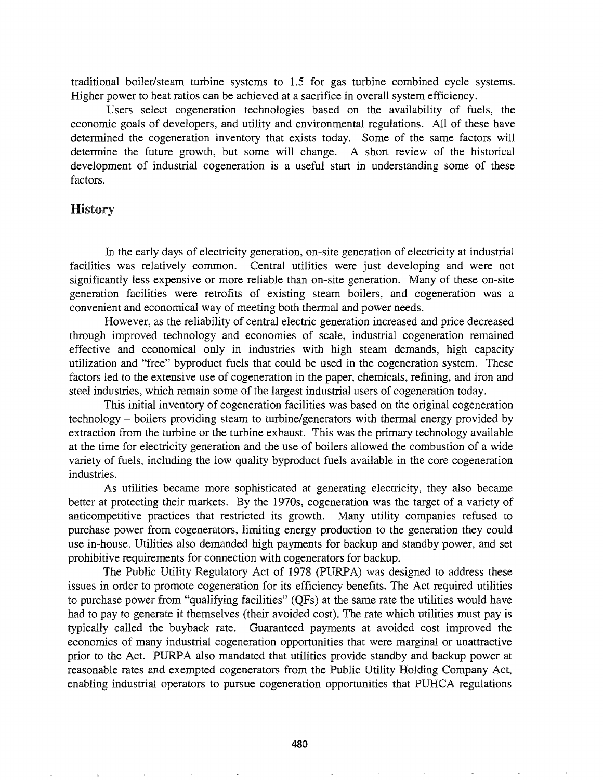traditional boiler/steam turbine systems to 1.5 for gas turbine combined cycle systems. Higher power to heat ratios can be achieved at a sacrifice in overall system efficiency.

Users select cogeneration technologies based on the availability of fuels, the economic goals of developers, and utility and environmental regulations. All of these have determined the cogeneration inventory that exists today. Some of the same factors will detennine the future growth, but some will change. A short review of the historical development of industrial cogeneration is a useful start in understanding some of these factors.

### **History**

In the early days of electricity generation, on-site generation of electricity at industrial facilities was relatively common. Central utilities were just developing and were not significantly less expensive or more reliable than on-site generation. Many of these on-site generation facilities were retrofits of existing steam boilers, and cogeneration was a convenient and economical way of meeting both thermal and power needs.

However, as the reliability of central electric generation increased and price decreased through improved technology and economies of scale, industrial cogeneration remained effective and economical only in industries with high steam demands, high capacity utilization and "free" byproduct fuels that could be used in the cogeneration system. These factors led to the extensive use of cogeneration in the paper, chemicals, refining, and iron and steel industries, which remain some of the largest industrial users of cogeneration today.

This initial inventory of cogeneration facilities was based on the original cogeneration technology - boilers providing steam to turbine/generators with thennal energy provided by extraction from the turbine or the turbine exhaust. This was the primary technology available at the time for electricity generation and the use of boilers allowed the combustion of a wide variety of fuels, including the low quality byproduct fuels available in the core cogeneration industries.

As utilities became more sophisticated at generating electricity, they also became better at protecting their markets. By the 1970s, cogeneration was the target of a variety of anticompetitive practices that restricted its growth. Many utility companies refused to purchase power from cogenerators, limiting energy production to the generation they could use in-house. Utilities also demanded high payments for backup and standby power, and set prohibitive requirements for connection with cogenerators for backup.

The Public Utility Regulatory Act of 1978 (PURPA) was designed to address these issues in order to promote cogeneration for its efficiency benefits. The Act required utilities to purchase power from "qualifying facilities" (QFs) at the same rate the utilities would have had to pay to generate it themselves (their avoided cost). The rate which utilities must pay is typically called the buyback rate. Guaranteed payments at avoided cost improved the economics of many industrial cogeneration opportunities that were marginal or unattractive prior to the Act. PURPA also mandated that utilities provide standby and backup power at reasonable rates and exempted cogenerators from the Public Utility Holding Company Act, enabling industrial operators to pursue cogeneration opportunities that PUHCA regulations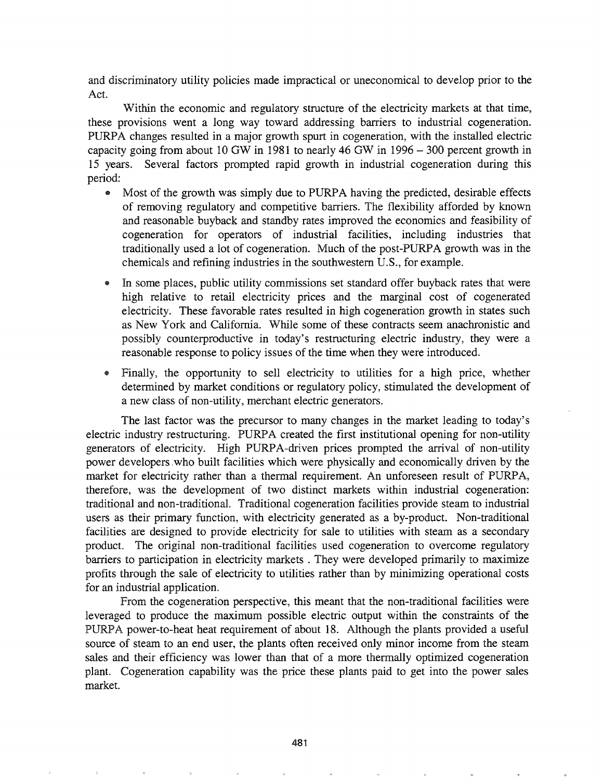and discriminatory utility policies made impractical or uneconomical to develop prior to the Act.

Within the economic and regulatory structure of the electricity markets at that time, these provisions went a long way toward addressing barriers to industrial cogeneration. PURPA changes resulted in a major growth spurt in cogeneration, with the installed electric capacity going from about 10 GW in 1981 to nearly 46 GW in 1996 - 300 percent growth in 15 years. Several factors prompted rapid growth in industrial cogeneration during this period:

- Most of the growth was simply due to PURPA having the predicted, desirable effects of removing regulatory and competitive barriers. The flexibility afforded by known and reasonable buyback and standby rates improved the economics and feasibility of cogeneration for operators of industrial facilities, including industries that traditionally used a lot of cogeneration. Much of the post-PURPA growth was in the chemicals and refining industries in the southwestern U.S., for example.
- In some places, public utility commissions set standard offer buyback rates that were high relative to retail electricity prices and the marginal cost of cogenerated electricity. These favorable rates resulted in high cogeneration growth in states such as New York and California. While some of these contracts seem anachronistic and possibly counterproductive in today's restructuring electric industry, they were a reasonable response to policy issues of the time when they were introduced.
- Finally, the opportunity to sell electricity to utilities for a high price, whether determined by market conditions or regulatory policy, stimulated the development of a new class of non-utility, merchant electric generators.

The last factor was the precursor to many changes in the market leading to today's electric industry restructuring. PURPA created the first institutional opening for non-utility generators of electricity. High PURPA-driven prices prompted the arrival of non-utility power developers .who built facilities which were physically and economically driven by the market for electricity rather than a thermal requirement. An unforeseen result of PURPA, therefore, was the development of two distinct markets within industrial cogeneration: traditional and non-traditional. Traditional cogeneration facilities provide steam to industrial users as their primary function, with electricity generated as a by-product. Non-traditional facilities are designed to provide electricity for sale to utilities with steam as a secondary product. The original non-traditional facilities used cogeneration to overcome regulatory barriers to participation in electricity markets . They were developed primarily to maximize profits through the sale of electricity to utilities rather than by minimizing operational costs for an industrial application.

From the cogeneration perspective, this meant that the non-traditional facilities were leveraged to produce the maximum possible electric output within the constraints of the power-to-heat heat requirement of about 18. Although the plants provided a useful source of steam to an end user, the plants often received only minor income from the steam sales and their efficiency was lower than that of a more thermally optimized cogeneration plant. Cogeneration capability was the price these plants paid to get into the power sales market.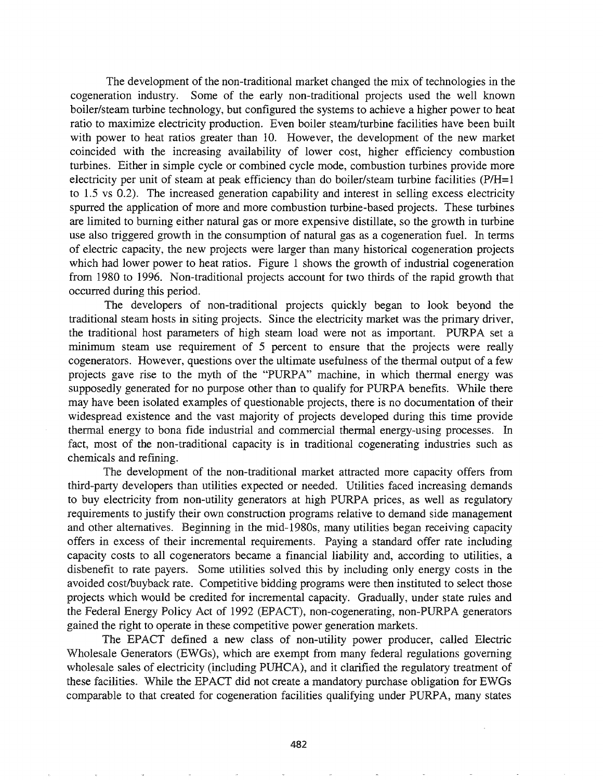The development of the non-traditional market changed the mix of technologies in the cogeneration industry. Some of the early non-traditional projects used the well known boiler/steam turbine technology, but configured the systems to achieve a higher power to heat ratio to maximize electricity production. Even boiler steam/turbine facilities have been built with power to heat ratios greater than 10. However, the development of the new market coincided with the increasing availability of lower cost, higher efficiency combustion turbines. Either in simple cycle or combined cycle mode, combustion turbines provide more electricity per unit of steam at peak efficiency than do boiler/steam turbine facilities  $(P/H=1)$ to 1.5 vs 0.2). The increased generation capability and interest in selling excess electricity spurred the application of more and more combustion turbine-based projects. These turbines are limited to burning either natural gas or more expensive distillate, so the growth in turbine use also triggered growth in the consumption of natural gas as a cogeneration fuel. In terms of electric capacity, the new projects were larger than many historical cogeneration projects which had lower power to heat ratios. Figure 1 shows the growth of industrial cogeneration from 1980 to 1996. Non-traditional projects account for two thirds of the rapid growth that occurred during this period.

The developers of non-traditional projects quickly began to look beyond the traditional steam hosts in siting projects. Since the electricity market was the primary driver, the traditional host parameters of high steam load were not as important. PURPA set a minimum steam use requirement of 5 percent to ensure that the projects were really cogenerators. However, questions over the ultimate usefulness of the thermal output of a few projects gave rise to the myth of the "PURPA" machine, in which thermal energy was supposedly generated for no purpose other than to qualify for PURPA benefits. While there may have been isolated examples of questionable projects, there is no documentation of their widespread existence and the vast majority of projects developed during this time provide thermal energy to bona fide industrial and commercial thermal energy-using processes. In fact, most of the non-traditional capacity is in traditional cogenerating industries such as chemicals and refining.

The development of the non-traditional market attracted more capacity offers from third-party developers than utilities expected or needed. Utilities faced increasing demands to buy electricity from non-utility generators at high PURPA prices, as well as regulatory requirements to justify their own construction programs relative to demand side management and other alternatives. Beginning in the mid-1980s, many utilities began receiving capacity offers in excess of their incremental requirements. Paying a standard offer rate including capacity costs to all cogenerators became a financial liability and, according to utilities, a disbenefit to rate payers. Some utilities solved this by including only energy costs in the avoided cost/buyback rate. Competitive bidding programs were then instituted to select those projects which would be credited for incremental capacity. Gradually, under state rules and the Federal Energy Policy Act of 1992 (EPACT), non-cogenerating, non-PURPA generators gained the right to operate in these competitive power generation markets.

The EPACT defined a new class of non-utility power producer, called Electric Wholesale Generators (EWGs), which are exempt from many federal regulations governing wholesale sales of electricity (including PUHCA), and it clarified the regulatory treatment of these facilities. While the EPACT did not create a mandatory purchase obligation for EWGs comparable to that created for cogeneration facilities qualifying under PURPA, many states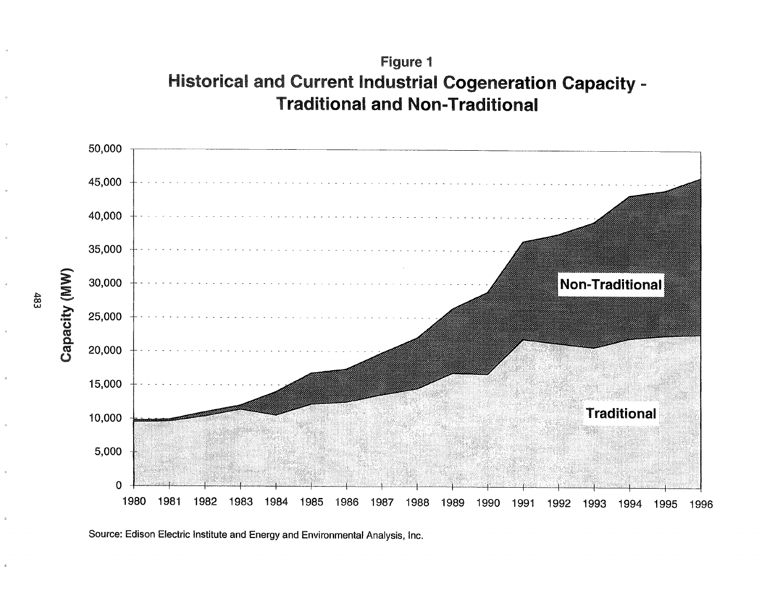# Figure 1 **Historical and Current Industrial Cogeneration Capacity -Traditional and Non-Traditional**



Source: Edison Electric Institute and Energy and Environmental Analysis, Inc.

483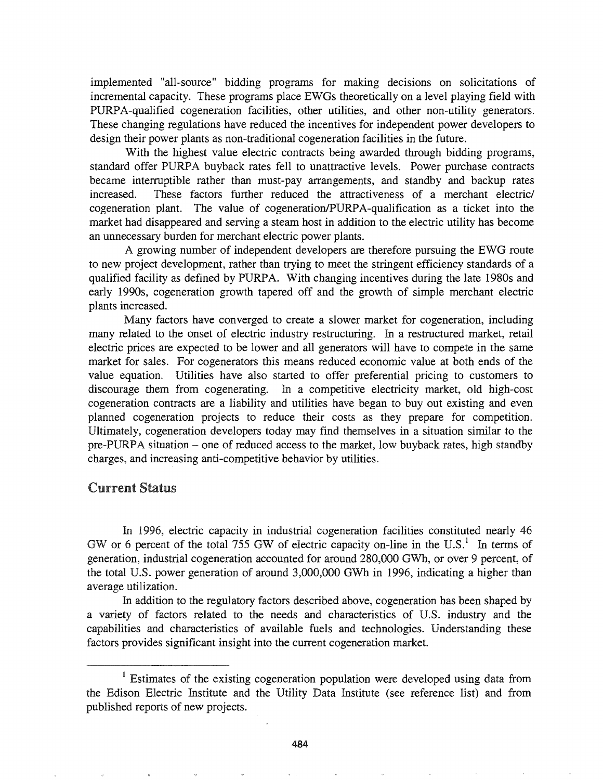implemented "all-source" bidding programs for making decisions on solicitations of incremental capacity. These programs place EWGs theoretically on a level playing field with PURPA-qualified cogeneration facilities, other utilities, and other non-utility generators. These changing regulations have reduced the incentives for independent power developers to design their power plants as non-traditional cogeneration facilities in the future.

With the highest value electric contracts being awarded through bidding programs, standard offer PURPA buyback rates fell to unattractive levels. Power purchase contracts became interruptible rather than must-pay arrangements, and standby and backup rates increased. These factors further reduced the attractiveness of a merchant electric/ cogeneration plant. The value of cogeneration/PURPA-qualification as a ticket into the market had disappeared and serving a steam host in addition to the electric utility has become an unnecessary burden for merchant electric power plants.

A growing number of independent developers are therefore pursuing the EWG route to new project development, rather than trying to meet the stringent efficiency standards of a qualified facility as defined by PURPA. With changing incentives during the late 1980s and early 1990s, cogeneration growth tapered off and the growth of simple merchant electric plants increased.

Many factors have converged to create a slower market for cogeneration, including many related to the onset of electric industry restructuring. In a restructured market, retail electric prices are expected to be lower and all generators will have to compete in the same market for sales. For cogenerators this means reduced economic value at both ends of the value equation. Utilities have also started to offer preferential pricing to customers to discourage them from cogenerating. In a competitive electricity market, old high-cost cogeneration contracts are a liability and utilities have began to buyout existing and even planned cogeneration projects to reduce their costs as they prepare for competition. Ultimately, cogeneration developers today may find themselves in a situation similar to the pre-PURPA situation - one of reduced access to the market, low buyback rates, high standby charges, and increasing anti-competitive behavior by utilities.

## Current Status

1996, electric capacity in industrial cogeneration facilities constituted nearly 46 GW or 6 percent of the total 755 GW of electric capacity on-line in the U.S.<sup>1</sup> In terms of generation, industrial cogeneration accounted for around 280,000 GWh, or over 9 percent, of the total U.S. power generation of around 3,000,000 GWh in 1996, indicating a higher than average utilization.

In addition to the regulatory factors described above, cogeneration has been shaped by a variety of factors related to the needs and characteristics of U.S. industry and the capabilities and characteristics of available fuels and technologies. Understanding these factors provides significant insight into the current cogeneration market

<sup>&</sup>lt;sup>1</sup> Estimates of the existing cogeneration population were developed using data from the Edison Electric Institute and the Utility Data Institute (see reference list) and from published reports of new projects.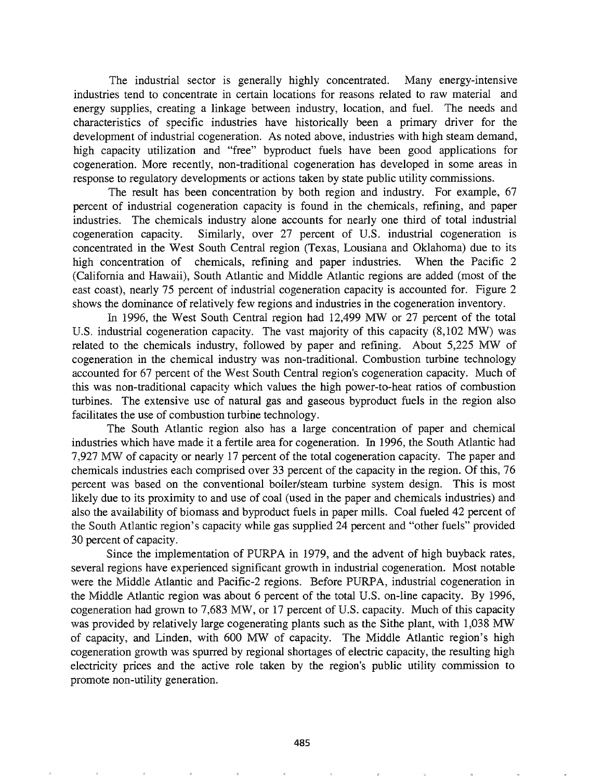The industrial sector is generally highly concentrated. Many energy-intensive industries tend to concentrate in certain locations for reasons related to raw material and energy supplies, creating a linkage between industry, location, and fuel. The needs and characteristics of specific industries have historically been a primary driver for the development of industrial cogeneration. As noted above, industries with high steam demand, high capacity utilization and "free" byproduct fuels have been good applications for cogeneration. More recently, non-traditional cogeneration has developed in some areas in response to regulatory developments or actions taken by state public utility commissions.

The result has been concentration by both region and industry. For example, 67 percent of industrial cogeneration capacity is found in the chemicals, refining, and paper industries. The chemicals industry alone accounts for nearly one third of total industrial cogeneration capacity. Similarly, over 27 percent of U.S. industrial cogeneration is concentrated in the West South Central region (Texas, Lousiana and Oklahoma) due to its high concentration of chemicals, refining and paper industries. When the Pacific 2 (California and Hawaii), South Atlantic and Middle Atlantic regions are added (most of the east coast), nearly 75 percent of industrial cogeneration capacity is accounted for. Figure 2 shows the dominance of relatively few regions and industries in the cogeneration inventory.

In 1996, the West South Central region had 12,499 MW or 27 percent of the total U.S. industrial cogeneration capacity. The vast majority of this capacity (8,102 MW) was related to the chemicals industry, followed by paper and refining. About 5,225 MW of cogeneration in the chemical industry was non-traditional. Combustion turbine technology accounted for 67 percent of the West South Central region's cogeneration capacity. Much of this was non-traditional capacity which values the high power-to-heat ratios of combustion turbines. The extensive use of natural gas and gaseous byproduct fuels in the region also facilitates the use of combustion turbine technology.

The South Atlantic region also has a large concentration of paper and chemical industries which have made it a fertile area for cogeneration. In 1996, the South Atlantic had 7,927 MW of capacity or nearly 17 percent of the total cogeneration capacity. The paper and chemicals industries each comprised over 33 percent of the capacity in the region. Of this, 76 percent was based on the conventional boiler/steam turbine system design. This is most likely due to its proximity to and use of coal (used in the paper and chemicals industries) and also the availability of biomass and byproduct fuels in paper mills. Coal fueled 42 percent of the South Atlantic region's capacity while gas supplied 24 percent and "other fuels" provided 30 percent of capacity.

Since the implementation of PURPA in 1979, and the advent of high buyback rates, several regions have experienced significant growth in industrial cogeneration. Most notable were the Middle Atlantic and Pacific-2 regions. Before PURPA, industrial cogeneration in the Middle Atlantic region was about 6 percent of the total U.S. on-line capacity. By 1996, cogeneration had grown to 7,683 MW, or 17 percent of U.S. capacity. Much of this capacity was provided by relatively large cogenerating plants such as the Sithe plant, with 1,038 MW of capacity, and Linden, with 600 MW of capacity. The Middle Atlantic region's high cogeneration growth was spurred by regional shortages of electric capacity, the resulting high electricity prices and the active role taken by the region's public utility commission to promote non-utility generation.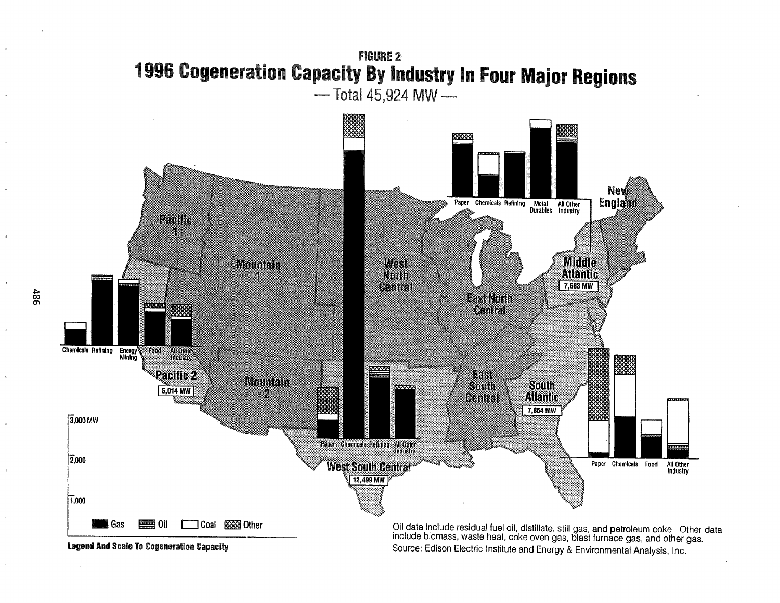## **FIGURE 2** 1996 Cogeneration Capacity By Industry In Four Major Regions - Total 45,924 MW-





Source: Edison Electric Institute and Energy & Environmental Analysis, Inc.

486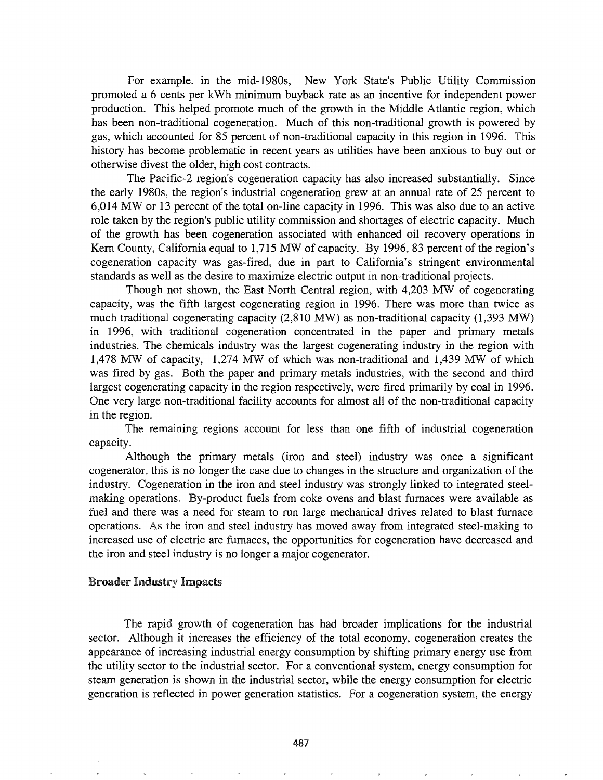For example, in the mid-1980s, New York State's Public Utility Commission promoted a 6 cents per kWh minimum buyback rate as an incentive for independent power production. This helped promote much of the growth in the Middle Atlantic region, which has been non-traditional cogeneration. Much of this non-traditional growth is powered by gas, which accounted for 85 percent of non-traditional capacity in this region in 1996. This history has become problematic in recent years as utilities have been anxious to buy out or otherwise divest the older, high cost contracts.

The Pacific-2 region's cogeneration capacity has also increased substantially. Since the early 1980s, the region's industrial cogeneration grew at an annual rate of 25 percent to 6,014 MW or 13 percent of the total on-line capacity in 1996. This was also due to an active role taken by the region's public utility commission and shortages of electric capacity. Much of the growth has been cogeneration associated with enhanced oil recovery operations in Kern County, California equal to 1,715 MW of capacity. By 1996, 83 percent of the region's cogeneration capacity was gas-fired, due in part to California's stringent environmental standards as well as the desire to maximize electric output in non-traditional projects.

Though not shown, the East North Central region, with 4,203 MW of cogenerating capacity, was the fifth largest cogenerating region in 1996. There was more than twice as much traditional cogenerating capacity (2,810 MW) as non-traditional capacity (1,393 MW) in 1996, with traditional cogeneration concentrated in the paper and primary metals industries. The chemicals industry was the largest cogenerating industry in the region with 1,478 MW of capacity, 1,274 MW of which was non-traditional and 1,439 MW of which was fired by gas. Both the paper and primary metals industries, with the second and third largest cogenerating capacity in the region respectively, were fired primarily by coal in 1996. One very large non-traditional facility accounts for almost all of the non-traditional capacity in the region.

The remaining regions account for less than one fifth of industrial cogeneration capacity.

Although the primary metals (iron and steel) industry was once a significant cogenerator, this is no longer the case due to changes in the structure and organization of the industry. Cogeneration in the iron and steel industry was strongly linked to integrated steelmaking operations.. By-product fuels from coke ovens and blast furnaces were available as fuel and there was a need for steam to run large mechanical drives related to blast furnace operations.. As the iron and steel industry has moved away from integrated steel-making to increased use of electric arc furnaces, the opportunities for cogeneration have decreased and the iron and steel industry is no longer a major cogenerator.

#### **Broader Industry Impacts**

The rapid growth of cogeneration has had broader implications for the industrial sector. Although it increases the efficiency of the total economy, cogeneration creates the appearance of increasing industrial energy consumption by shifting primary energy use from the utility sector to the industrial sector. For a conventional system, energy consumption for steam generation is shown in the industrial sector, while the energy consumption for electric generation is reflected in power generation statistics. For a cogeneration system, the energy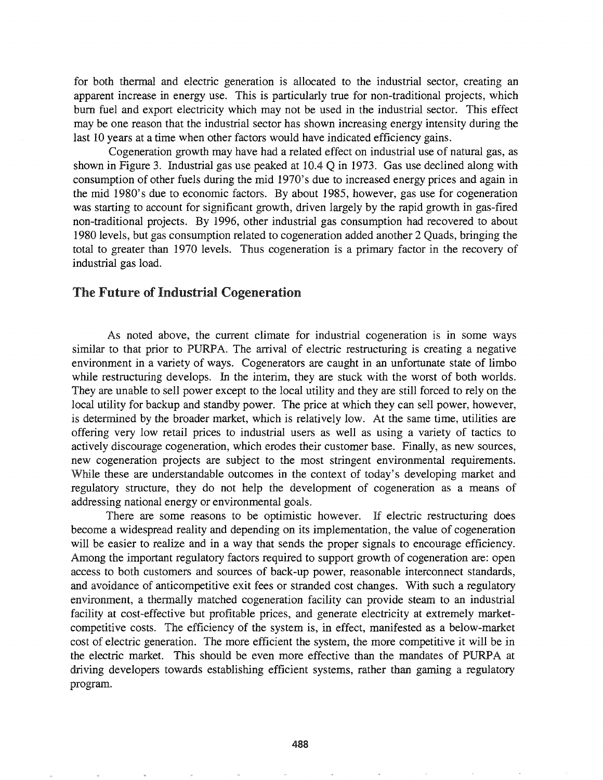for both thermal and electric generation is allocated to the industrial sector, creating an apparent increase in energy use. This is particularly true for non-traditional projects, which bum fuel and export electricity which may not be used in the industrial sector. This effect may be one reason that the industrial sector has shown increasing energy intensity during the last 10 years at a time when other factors would have indicated efficiency gains.

Cogeneration growth may have had a related effect on industrial use of natural gas, as shown in Figure 3. Industrial gas use peaked at  $10.4$  Q in 1973. Gas use declined along with consumption of other fuels during the mid 1970's due to increased energy prices and again in the mid 1980's due to economic factors. By about 1985, however, gas use for cogeneration was starting to account for significant growth, driven largely by the rapid growth in gas-fired non-traditional projects. By 1996, other industrial gas consumption had recovered to about 1980 levels, but gas consumption related to cogeneration added another 2 Quads, bringing the total to greater than 1970 levels. Thus cogeneration is a primary factor in the recovery of industrial gas load.

## The Future of Industrial Cogeneration

As noted above, the current climate for industrial cogeneration is in some ways similar to that prior to PURPA. The arrival of electric restructuring is creating a negative environment in a variety of ways. Cogenerators are caught in an unfortunate state of limbo while restructuring develops. In the interim, they are stuck with the worst of both worlds. They are unable to sell power except to the local utility and they are still forced to rely on the local utility for backup and standby power. The price at which they can sell power, however, is determined by the broader market, which is relatively low. At the same time, utilities are offering very low retail prices to industrial users as well as using a variety of tactics to actively discourage cogeneration, which erodes their customer base. Finally, as new sources, new cogeneration projects are subject to the most stringent environmental requirements. While these are understandable outcomes in the context of today's developing market and regulatory structure, they do not help the development of cogeneration as a means of addressing national energy or environmental goals.

There are some reasons to be optimistic however. If electric restructuring does become a widespread reality and depending on its implementation, the value of cogeneration will be easier to realize and in a way that sends the proper signals to encourage efficiency. Among the important regulatory factors required to support growth of cogeneration are: open access to both customers and sources of back-up power, reasonable interconnect standards, and avoidance of anticompetitive exit fees or stranded cost changes. With such a regulatory environment, a thermally matched cogeneration facility can provide steam to an industrial facility at cost-effective but profitable prices, and generate electricity at extremely marketcompetitive costs. The efficiency of the system is, in effect, manifested as a below-market cost of electric generation. The more efficient the system, the more competitive it will be in the electric market. This should be even more effective than the mandates of PURPA at driving developers towards establishing efficient systems, rather than gaming a regulatory program.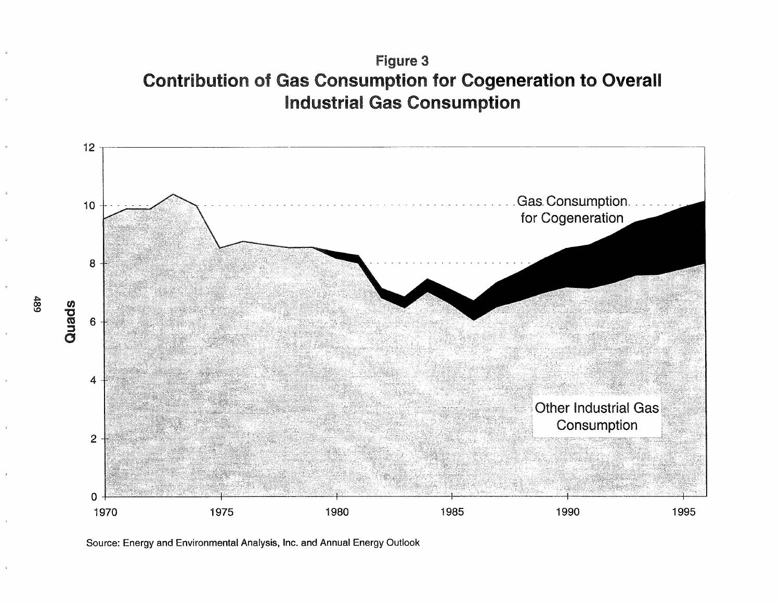# Figure 3 Contribution of Gas Consumption for Cogeneration to Overall Industrial Gas Consumption



Source: Energy and Environmental Analysis, Inc. and Annual Energy Outlook

00 \0